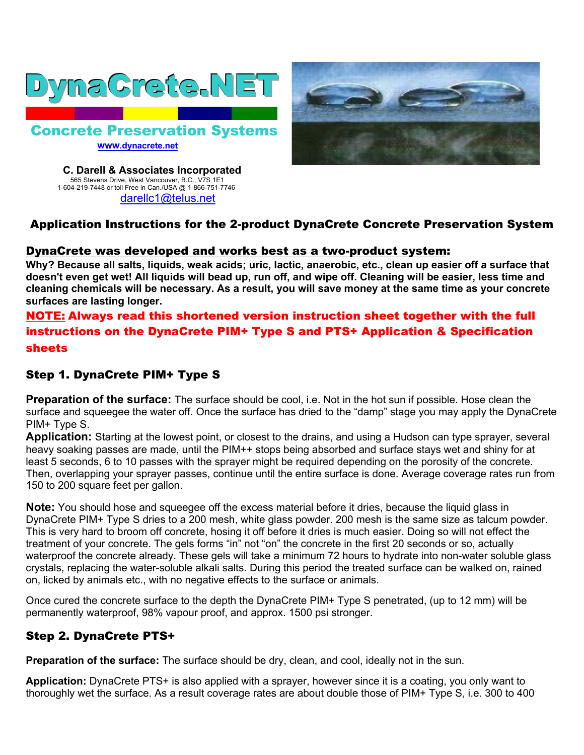



 **C. Darell & Associates Incorporated** 565 Stevens Drive, West Vancouver, B.C., V7S 1E1 1-604-219-7448 or toll Free in Can./USA @ 1-866-751-7746 darellc1@telus.net

# Application Instructions for the 2-product DynaCrete Concrete Preservation System

#### DynaCrete was developed and works best as a two-product system:

**Why? Because all salts, liquids, weak acids; uric, lactic, anaerobic, etc., clean up easier off a surface that doesn't even get wet! All liquids will bead up, run off, and wipe off. Cleaning will be easier, less time and cleaning chemicals will be necessary. As a result, you will save money at the same time as your concrete surfaces are lasting longer.**

# NOTE: Always read this shortened version instruction sheet together with the full instructions on the DynaCrete PIM+ Type S and PTS+ Application & Specification sheets

### Step 1. DynaCrete PIM+ Type S

**Preparation of the surface:** The surface should be cool, i.e. Not in the hot sun if possible. Hose clean the surface and squeegee the water off. Once the surface has dried to the "damp" stage you may apply the DynaCrete PIM+ Type S.

**Application:** Starting at the lowest point, or closest to the drains, and using a Hudson can type sprayer, several heavy soaking passes are made, until the PIM++ stops being absorbed and surface stays wet and shiny for at least 5 seconds, 6 to 10 passes with the sprayer might be required depending on the porosity of the concrete. Then, overlapping your sprayer passes, continue until the entire surface is done. Average coverage rates run from 150 to 200 square feet per gallon.

**Note:** You should hose and squeegee off the excess material before it dries, because the liquid glass in DynaCrete PIM+ Type S dries to a 200 mesh, white glass powder. 200 mesh is the same size as talcum powder. This is very hard to broom off concrete, hosing it off before it dries is much easier. Doing so will not effect the treatment of your concrete. The gels forms "in" not "on" the concrete in the first 20 seconds or so, actually waterproof the concrete already. These gels will take a minimum 72 hours to hydrate into non-water soluble glass crystals, replacing the water-soluble alkali salts. During this period the treated surface can be walked on, rained on, licked by animals etc., with no negative effects to the surface or animals.

Once cured the concrete surface to the depth the DynaCrete PIM+ Type S penetrated, (up to 12 mm) will be permanently waterproof, 98% vapour proof, and approx. 1500 psi stronger.

# Step 2. DynaCrete PTS+

**Preparation of the surface:** The surface should be dry, clean, and cool, ideally not in the sun.

**Application:** DynaCrete PTS+ is also applied with a sprayer, however since it is a coating, you only want to thoroughly wet the surface. As a result coverage rates are about double those of PIM+ Type S, i.e. 300 to 400